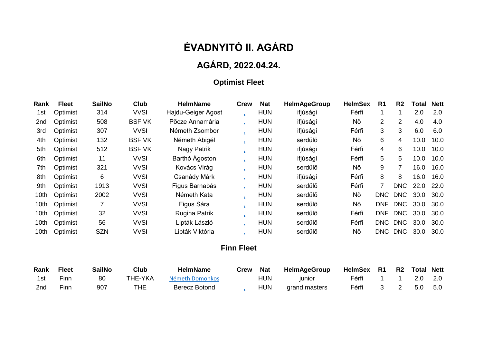# **ÉVADNYITÓ II. AGÁRD**

## **AGÁRD, 2022.04.24.**

## **Optimist Fleet**

| Rank            | <b>Fleet</b> | <b>SailNo</b> | <b>Club</b>   | <b>HelmName</b>      | <b>Crew</b> | <b>Nat</b> | <b>HelmAgeGroup</b> | <b>HelmSex</b> | R <sub>1</sub> | R <sub>2</sub> | Total | <b>Nett</b> |
|-----------------|--------------|---------------|---------------|----------------------|-------------|------------|---------------------|----------------|----------------|----------------|-------|-------------|
| 1st             | Optimist     | 314           | <b>VVSI</b>   | Hajdu-Geiger Agost   | z.          | <b>HUN</b> | ifjúsági            | Férfi          |                | 1              | 2.0   | 2.0         |
| 2 <sub>nd</sub> | Optimist     | 508           | <b>BSF VK</b> | Põcze Annamária      |             | <b>HUN</b> | ifjúsági            | Nõ             | 2              | $\overline{2}$ | 4.0   | 4.0         |
| 3rd             | Optimist     | 307           | <b>VVSI</b>   | Németh Zsombor       | z.          | <b>HUN</b> | ifjúsági            | Férfi          | 3              | 3              | 6.0   | 6.0         |
| 4th             | Optimist     | 132           | <b>BSF VK</b> | Németh Abigél        |             | <b>HUN</b> | serdülő             | Nõ             | 6              | 4              | 10.0  | 10.0        |
| 5th             | Optimist     | 512           | <b>BSF VK</b> | Nagy Patrik          | ż.          | <b>HUN</b> | ifjúsági            | Férfi          | 4              | 6              | 10.0  | 10.0        |
| 6th             | Optimist     | 11            | <b>VVSI</b>   | Barthó Ágoston       |             | <b>HUN</b> | ifjúsági            | Férfi          | 5              | 5              | 10.0  | 10.0        |
| 7th             | Optimist     | 321           | <b>VVSI</b>   | Kovács Virág         |             | <b>HUN</b> | serdülõ             | Nõ             | 9              | $\overline{7}$ | 16.0  | 16.0        |
| 8th             | Optimist     | 6             | <b>VVSI</b>   | Csanády Márk         |             | <b>HUN</b> | ifjúsági            | Férfi          | 8              | 8              | 16.0  | 16.0        |
| 9th             | Optimist     | 1913          | <b>VVSI</b>   | Figus Barnabás       |             | <b>HUN</b> | serdülő             | Férfi          |                | <b>DNC</b>     | 22.0  | 22.0        |
| 10th            | Optimist     | 2002          | <b>VVSI</b>   | Németh Kata          |             | <b>HUN</b> | serdülő             | Nõ             | DNC            | <b>DNC</b>     | 30.0  | 30.0        |
| 10th            | Optimist     | 7             | <b>VVSI</b>   | Figus Sára           |             | <b>HUN</b> | serdülő             | Nõ             | <b>DNF</b>     | <b>DNC</b>     | 30.0  | 30.0        |
| 10th            | Optimist     | 32            | <b>VVSI</b>   | <b>Rugina Patrik</b> |             | <b>HUN</b> | serdülő             | Férfi          | <b>DNF</b>     | <b>DNC</b>     | 30.0  | 30.0        |
| 10th            | Optimist     | 56            | <b>VVSI</b>   | Lipták László        |             | <b>HUN</b> | serdülő             | Férfi          | DNC <b>D</b>   | <b>DNC</b>     | 30.0  | 30.0        |
| 10th            | Optimist     | <b>SZN</b>    | <b>VVSI</b>   | Lipták Viktória      |             | <b>HUN</b> | serdülő             | Nõ             | <b>DNC</b>     | <b>DNC</b>     | 30.0  | 30.0        |

#### **Finn Fleet**

| Rank | <b>Fleet</b> | <b>SailNo</b> | Club    | <b>HelmName</b> | Crew | <b>Nat</b> | HelmAgeGroup  | HelmSex R1 R2 Total Nett |  |             |  |
|------|--------------|---------------|---------|-----------------|------|------------|---------------|--------------------------|--|-------------|--|
| 1st  | Finn         | 80            | THE-YKA | Németh Domonkos |      | <b>HUN</b> | <b>IUNIOL</b> | Férfi                    |  | 1 1 2.0 2.0 |  |
| 2nd  | Finn         | 907           | THE     | Berecz Botond   |      | <b>HUN</b> | grand masters | Férfi                    |  | 3 2 5.0 5.0 |  |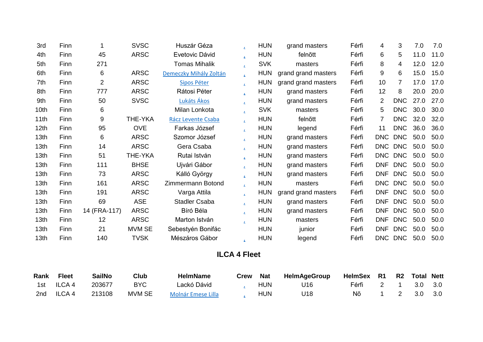| 3rd              | Finn |                | <b>SVSC</b>    | Huszár Géza            | $\mathbf{z}$ | <b>HUN</b> | grand masters       | Férfi | 4               | 3          | 7.0  | 7.0  |
|------------------|------|----------------|----------------|------------------------|--------------|------------|---------------------|-------|-----------------|------------|------|------|
| 4th              | Finn | 45             | <b>ARSC</b>    | Evetovic Dávid         | ż.           | <b>HUN</b> | felnõtt             | Férfi | 6               | 5          | 11.0 | 11.0 |
| 5th              | Finn | 271            |                | <b>Tomas Mihalik</b>   | $\mathbf{L}$ | <b>SVK</b> | masters             | Férfi | 8               | 4          | 12.0 | 12.0 |
| 6th              | Finn | 6              | <b>ARSC</b>    | Demeczky Mihály Zoltán | $\mathbf{z}$ | <b>HUN</b> | grand grand masters | Férfi | 9               | 6          | 15.0 | 15.0 |
| 7th              | Finn | $\overline{2}$ | <b>ARSC</b>    | Sipos Péter            | $\mathbf{r}$ | <b>HUN</b> | grand grand masters | Férfi | 10 <sup>1</sup> | 7          | 17.0 | 17.0 |
| 8th              | Finn | 777            | <b>ARSC</b>    | Rátosi Péter           | $\mathbf{z}$ | <b>HUN</b> | grand masters       | Férfi | 12              | 8          | 20.0 | 20.0 |
| 9th              | Finn | 50             | <b>SVSC</b>    | Lukáts Ákos            | $\mathbf{z}$ | <b>HUN</b> | grand masters       | Férfi | $\overline{2}$  | <b>DNC</b> | 27.0 | 27.0 |
| 10th             | Finn | 6              |                | Milan Lonkota          | $\mathbf{z}$ | <b>SVK</b> | masters             | Férfi | 5               | <b>DNC</b> | 30.0 | 30.0 |
| 11th             | Finn | 9              | <b>THE-YKA</b> | Rácz Levente Csaba     | $\mathbf{z}$ | <b>HUN</b> | felnõtt             | Férfi | $\overline{7}$  | <b>DNC</b> | 32.0 | 32.0 |
| 12 <sub>th</sub> | Finn | 95             | <b>OVE</b>     | Farkas József          | $\mathbf{r}$ | <b>HUN</b> | legend              | Férfi | 11              | <b>DNC</b> | 36.0 | 36.0 |
| 13 <sub>th</sub> | Finn | 6              | <b>ARSC</b>    | Szomor József          | ź.           | <b>HUN</b> | grand masters       | Férfi | <b>DNC</b>      | <b>DNC</b> | 50.0 | 50.0 |
| 13 <sub>th</sub> | Finn | 14             | <b>ARSC</b>    | Gera Csaba             | $\mathbf{z}$ | <b>HUN</b> | grand masters       | Férfi | <b>DNC</b>      | <b>DNC</b> | 50.0 | 50.0 |
| 13 <sub>th</sub> | Finn | 51             | <b>THE-YKA</b> | Rutai István           | $\mathbf{L}$ | <b>HUN</b> | grand masters       | Férfi | DNC             | <b>DNC</b> | 50.0 | 50.0 |
| 13 <sub>th</sub> | Finn | 111            | <b>BHSE</b>    | Ujvári Gábor           | $\mathbf{L}$ | <b>HUN</b> | grand masters       | Férfi | <b>DNF</b>      | <b>DNC</b> | 50.0 | 50.0 |
| 13th             | Finn | 73             | <b>ARSC</b>    | Kálló György           | $\mathbf{L}$ | <b>HUN</b> | grand masters       | Férfi | <b>DNF</b>      | <b>DNC</b> | 50.0 | 50.0 |
| 13th             | Finn | 161            | <b>ARSC</b>    | Zimmermann Botond      | z.           | <b>HUN</b> | masters             | Férfi | <b>DNC</b>      | <b>DNC</b> | 50.0 | 50.0 |
| 13 <sub>th</sub> | Finn | 191            | <b>ARSC</b>    | Varga Attila           | z.           | <b>HUN</b> | grand grand masters | Férfi | <b>DNF</b>      | <b>DNC</b> | 50.0 | 50.0 |
| 13 <sub>th</sub> | Finn | 69             | <b>ASE</b>     | <b>Stadler Csaba</b>   | $\mathbf{z}$ | <b>HUN</b> | grand masters       | Férfi | <b>DNF</b>      | <b>DNC</b> | 50.0 | 50.0 |
| 13 <sub>th</sub> | Finn | 14 (FRA-117)   | <b>ARSC</b>    | Bíró Béla              | $\mathbf{L}$ | <b>HUN</b> | grand masters       | Férfi | <b>DNF</b>      | <b>DNC</b> | 50.0 | 50.0 |
| 13 <sub>th</sub> | Finn | 12             | <b>ARSC</b>    | Marton István          | $\mathbf{r}$ | <b>HUN</b> | masters             | Férfi | <b>DNF</b>      | <b>DNC</b> | 50.0 | 50.0 |
| 13 <sub>th</sub> | Finn | 21             | <b>MVM SE</b>  | Sebestyén Bonifác      |              | <b>HUN</b> | junior              | Férfi | <b>DNF</b>      | <b>DNC</b> | 50.0 | 50.0 |
| 13 <sub>th</sub> | Finn | 140            | <b>TVSK</b>    | Mészáros Gábor         | $\mathbf{z}$ | <b>HUN</b> | legend              | Férfi |                 | DNC DNC    | 50.0 | 50.0 |

## **ILCA 4 Fleet**

| Rank | <b>Fleet</b> | <b>SailNo</b> | Club   | <b>HelmName</b>           | Crew Nat |            | HelmAgeGroup | HelmSex R1 R2 Total Nett |  |             |  |
|------|--------------|---------------|--------|---------------------------|----------|------------|--------------|--------------------------|--|-------------|--|
|      | 1st ILCA 4   | 203677        | BYC.   | Lackó Dávid               |          | <b>HUN</b> | U16          | Férfi 2 1 3.0 3.0        |  |             |  |
|      | 2nd ILCA 4   | 213108        | MVM SE | <b>Molnár Emese Lilla</b> |          | <b>HUN</b> | U18          | Nõ l                     |  | 1 2 3.0 3.0 |  |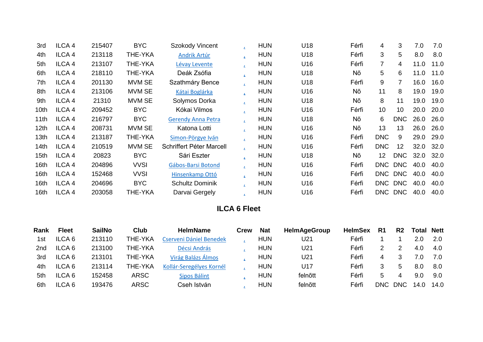| 3rd              | ILCA <sub>4</sub> | 215407 | <b>BYC</b>     | Szokody Vincent           | ż.           | <b>HUN</b> | U18 | Férfi | 4               | 3              | 7.0  | 7.0  |
|------------------|-------------------|--------|----------------|---------------------------|--------------|------------|-----|-------|-----------------|----------------|------|------|
| 4th              | ILCA <sub>4</sub> | 213118 | THE-YKA        | Andrik Artúr              | Ź.           | <b>HUN</b> | U18 | Férfi | 3               | 5              | 8.0  | 8.0  |
| 5th              | ILCA <sub>4</sub> | 213107 | THE-YKA        | Lévay Levente             | $\mathbf{z}$ | <b>HUN</b> | U16 | Férfi | $\overline{7}$  | 4              | 11.0 | 11.0 |
| 6th              | ILCA <sub>4</sub> | 218110 | <b>THE-YKA</b> | Deák Zsófia               | $\mathbf{z}$ | <b>HUN</b> | U18 | Nõ    | 5               | 6              | 11.0 | 11.0 |
| 7th              | ILCA <sub>4</sub> | 201130 | MVM SE         | Szathmáry Bence           | ż.           | <b>HUN</b> | U18 | Férfi | 9               | $\overline{7}$ | 16.0 | 16.0 |
| 8th              | ILCA <sub>4</sub> | 213106 | MVM SE         | Kátai Boglárka            | $\mathbf{z}$ | <b>HUN</b> | U16 | Nõ    | 11              | 8              | 19.0 | 19.0 |
| 9th              | ILCA <sub>4</sub> | 21310  | MVM SE         | Solymos Dorka             |              | <b>HUN</b> | U18 | Nõ    | 8               | 11             | 19.0 | 19.0 |
| 10th             | ILCA <sub>4</sub> | 209452 | <b>BYC</b>     | Kókai Vilmos              | ż.           | <b>HUN</b> | U16 | Férfi | 10 <sup>1</sup> | 10             | 20.0 | 20.0 |
| 11th             | ILCA <sub>4</sub> | 216797 | <b>BYC</b>     | <b>Gerendy Anna Petra</b> | z.           | <b>HUN</b> | U18 | Nõ    | 6               | <b>DNC</b>     | 26.0 | 26.0 |
| 12 <sub>th</sub> | ILCA <sub>4</sub> | 208731 | MVM SE         | Katona Lotti              | $\mathbf{z}$ | <b>HUN</b> | U16 | Nõ    | 13              | 13             | 26.0 | 26.0 |
| 13th             | ILCA <sub>4</sub> | 213187 | <b>THE-YKA</b> | Simon-Pörgye Iván         | $\mathbf{z}$ | <b>HUN</b> | U16 | Férfi | <b>DNC</b>      | 9              | 29.0 | 29.0 |
| 14th             | ILCA <sub>4</sub> | 210519 | MVM SE         | Schriffert Péter Marcell  | $\mathbf{L}$ | <b>HUN</b> | U16 | Férfi | <b>DNC</b>      | 12             | 32.0 | 32.0 |
| 15th             | ILCA <sub>4</sub> | 20823  | <b>BYC</b>     | Sári Eszter               | $\mathbf{z}$ | <b>HUN</b> | U18 | Nõ    | 12              | <b>DNC</b>     | 32.0 | 32.0 |
| 16th             | ILCA <sub>4</sub> | 204896 | <b>VVSI</b>    | Gábos-Barsi Botond        | ż.           | <b>HUN</b> | U16 | Férfi | <b>DNC</b>      | <b>DNC</b>     | 40.0 | 40.0 |
| 16 <sub>th</sub> | ILCA <sub>4</sub> | 152468 | <b>VVSI</b>    | Hinsenkamp Ottó           | $\mathbf{z}$ | <b>HUN</b> | U16 | Férfi | <b>DNC</b>      | <b>DNC</b>     | 40.0 | 40.0 |
| 16th             | ILCA <sub>4</sub> | 204696 | <b>BYC</b>     | <b>Schultz Dominik</b>    | ż.           | <b>HUN</b> | U16 | Férfi | <b>DNC</b>      | <b>DNC</b>     | 40.0 | 40.0 |
| 16th             | ILCA <sub>4</sub> | 203058 | <b>THE-YKA</b> | Darvai Gergely            |              | <b>HUN</b> | U16 | Férfi |                 | DNC DNC        | 40.0 | 40.0 |

### **ILCA 6 Fleet**

| Rank | Fleet             | <b>SailNo</b> | Club           | <b>HelmName</b>          | <b>Crew</b> | <b>Nat</b> | <b>HelmAgeGroup</b> | <b>HelmSex</b> | R1   | R <sub>2</sub> | <b>Total Nett</b> |      |
|------|-------------------|---------------|----------------|--------------------------|-------------|------------|---------------------|----------------|------|----------------|-------------------|------|
| 1st  | ILCA <sub>6</sub> | 213110        | <b>THE-YKA</b> | Cserveni Dániel Benedek  |             | <b>HUN</b> | U21                 | Férfi          |      |                | 2.0               | 2.0  |
| 2nd  | ILCA <sub>6</sub> | 213100        | THE-YKA        | Décsi András             |             | <b>HUN</b> | U21                 | Férfi          |      |                | 4.0               | 4.0  |
| 3rd  | ILCA <sub>6</sub> | 213101        | THE-YKA        | Virág Balázs Álmos       |             | <b>HUN</b> | U21                 | Férfi          |      |                |                   | 7.0  |
| 4th  | ILCA 6            | 213114        | THE-YKA        | Kollár-Seregélyes Kornél |             | <b>HUN</b> | U17                 | Férfi          |      | <sub>5</sub>   | 8.0               | 8.0  |
| 5th  | ILCA <sub>6</sub> | 152458        | <b>ARSC</b>    | Sipos Bálint             |             | <b>HUN</b> | felnõtt             | Férfi          |      | 4              | 9.0               | 9.0  |
| 6th  | ILCA <sub>6</sub> | 193476        | <b>ARSC</b>    | Cseh István              |             | <b>HUN</b> | felnõtt             | Férfi          | DNC. | DNC            | 14.0              | 14.0 |